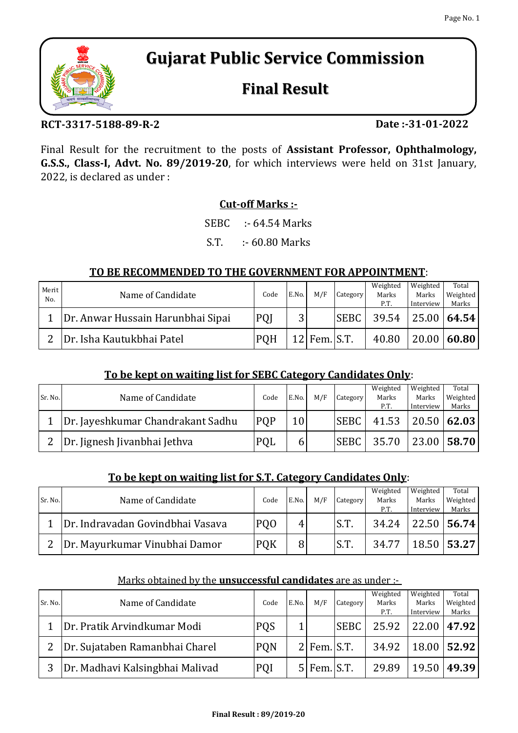# **Gujarat Public Service Commission**

# **Final Result**

## **RCT-3317-5188-89-R-2**

Final Result for the recruitment to the posts of **Assistant Professor, Ophthalmology, G.S.S., Class-I, Advt. No. 89/2019-20**, for which interviews were held on 31st January, 2022, is declared as under :

## **Cut-off Marks :-**

SEBC :- 64.54 Marks

S.T. :- 60.80 Marks

### **TO BE RECOMMENDED TO THE GOVERNMENT FOR APPOINTMENT**:

| Merit<br>No. | Name of Candidate                 | Code       | E.No.  | M/F            | Category    | Weighted<br>Marks<br>P.T. | Weighted<br>Marks<br>Interview | Total<br>Weighted<br>Marks |
|--------------|-----------------------------------|------------|--------|----------------|-------------|---------------------------|--------------------------------|----------------------------|
|              | Dr. Anwar Hussain Harunbhai Sipai | PQJ        | 2<br>ັ |                | <b>SEBC</b> | 39.54                     |                                | 25.00   64.54              |
|              | Dr. Isha Kautukbhai Patel         | <b>PQH</b> |        | $12$ Fem. S.T. |             | 40.80                     | 20.00                          | 60.80                      |

### **To be kept on waiting list for SEBC Category Candidates Only**:

| Sr. No. |                                   | Code       | E.No. | M/F | Category    | Weighted | Weighted  | Total         |
|---------|-----------------------------------|------------|-------|-----|-------------|----------|-----------|---------------|
|         | Name of Candidate                 |            |       |     |             | Marks    | Marks     | Weighted      |
|         |                                   |            |       |     |             | P.T.     | Interview | Marks         |
|         | Dr. Jayeshkumar Chandrakant Sadhu | <b>POP</b> | 10    |     | <b>SEBC</b> | 41.53    |           | $20.50$ 62.03 |
|         | Dr. Jignesh Jivanbhai Jethva      | PQL        | b     |     | <b>SEBC</b> | 35.70    |           | 23.00 58.70   |

### **To be kept on waiting list for S.T. Category Candidates Only**:

| Sr. No. | Name of Candidate                | Code            | E.No. | M/F | Category | Weighted<br>Marks<br>P.T. | Weighted<br>Marks<br>Interview | Total<br>Weighted<br>Marks |
|---------|----------------------------------|-----------------|-------|-----|----------|---------------------------|--------------------------------|----------------------------|
|         | Dr. Indravadan Govindbhai Vasava | PQ <sub>O</sub> | 4     |     | S.T.     | 34.24                     |                                | $22.50$ 56.74              |
|         | Dr. Mayurkumar Vinubhai Damor    | <b>PQK</b>      | 8     |     | S.T.     | 34.77                     |                                | 18.50   53.27              |

#### Marks obtained by the **unsuccessful candidates** are as under :-

| Sr. No. | Name of Candidate               | Code       | E.No.          | M/F             | <b>Category</b> | Weighted<br>Marks<br>P.T. | Weighted<br>Marks<br>Interview | Total<br>Weighted<br>Marks |
|---------|---------------------------------|------------|----------------|-----------------|-----------------|---------------------------|--------------------------------|----------------------------|
|         | Dr. Pratik Arvindkumar Modi     | <b>PQS</b> | 1              |                 | <b>SEBC</b>     | 25.92                     | 22.00 47.92                    |                            |
|         | Dr. Sujataben Ramanbhai Charel  | <b>PQN</b> |                | $2$ Fem. $S.T.$ |                 | 34.92                     | $18.00$ 52.92                  |                            |
| 3       | Dr. Madhavi Kalsingbhai Malivad | PQI        | 5 <sup>1</sup> | Fem. S.T.       |                 | 29.89                     | 19.50                          | 49.39                      |



**Date :-31-01-2022**